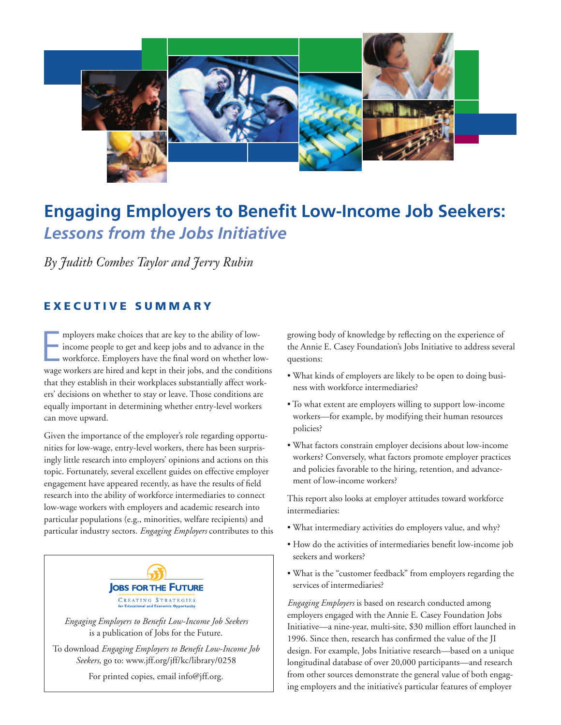

# **Engaging Employers to Benefit Low-Income Job Seekers:** *Lessons from the Jobs Initiative*

*By Judith Combes Taylor and Jerry Rubin*

## **EXECUTIVE SUMMARY**

mployers make choices that are key to the ability of low-<br>income people to get and keep jobs and to advance in the<br>workforce. Employers have the final word on whether low-<br>wage workers are hired and kept in their jobs, and mployers make choices that are key to the ability of lowincome people to get and keep jobs and to advance in the workforce. Employers have the final word on whether lowthat they establish in their workplaces substantially affect workers' decisions on whether to stay or leave. Those conditions are equally important in determining whether entry-level workers can move upward.

Given the importance of the employer's role regarding opportunities for low-wage, entry-level workers, there has been surprisingly little research into employers' opinions and actions on this topic. Fortunately, several excellent guides on effective employer engagement have appeared recently, as have the results of field research into the ability of workforce intermediaries to connect low-wage workers with employers and academic research into particular populations (e.g., minorities, welfare recipients) and particular industry sectors. *Engaging Employers* contributes to this



*Engaging Employers to Benefit Low-Income Job Seekers* is a publication of Jobs for the Future.

To download *Engaging Employers to Benefit Low-Income Job Seekers*, go to: www.jff.org/jff/kc/library/0258

For printed copies, email info@jff.org.

growing body of knowledge by reflecting on the experience of the Annie E. Casey Foundation's Jobs Initiative to address several questions:

- What kinds of employers are likely to be open to doing business with workforce intermediaries?
- To what extent are employers willing to support low-income workers—for example, by modifying their human resources policies?
- What factors constrain employer decisions about low-income workers? Conversely, what factors promote employer practices and policies favorable to the hiring, retention, and advancement of low-income workers?

This report also looks at employer attitudes toward workforce intermediaries:

- What intermediary activities do employers value, and why?
- How do the activities of intermediaries benefit low-income job seekers and workers?
- What is the "customer feedback" from employers regarding the services of intermediaries?

*Engaging Employers* is based on research conducted among employers engaged with the Annie E. Casey Foundation Jobs Initiative—a nine-year, multi-site, \$30 million effort launched in 1996. Since then, research has confirmed the value of the JI design. For example, Jobs Initiative research—based on a unique longitudinal database of over 20,000 participants—and research from other sources demonstrate the general value of both engaging employers and the initiative's particular features of employer